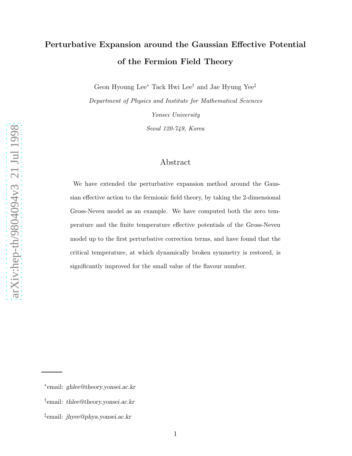# Perturbative Expansion around the Gaussian Effective Potential of the Fermion Field Theory

Geon Hyoung Lee<sup>∗</sup> Tack Hwi Lee<sup>†</sup> and Jae Hyung Yee<sup>‡</sup>

Department of Physics and Institute for Mathematical Sciences Yonsei University

Seoul 120-749, Korea

### Abstract

We have extended the perturbative expansion method around the Gaussian effective action to the fermionic field theory, by taking the 2-dimensional Gross-Neveu model as an example. We have computed both the zero temperature and the finite temperature effective potentials of the Gross-Neveu model up to the first perturbative correction terms, and have found that the critical temperature, at which dynamically broken symmetry is restored, is significantly improved for the small value of the flavour number.

arXiv:hep-th/9804094v3 21 Jul 1998 [arXiv:hep-th/9804094v3 21 Jul 1998](http://arxiv.org/abs/hep-th/9804094v3)

<sup>∗</sup> email: ghlee@theory.yonsei.ac.kr

<sup>†</sup> email: thlee@theory.yonsei.ac.kr

<sup>‡</sup> email: jhyee@phya.yonsei.ac.kr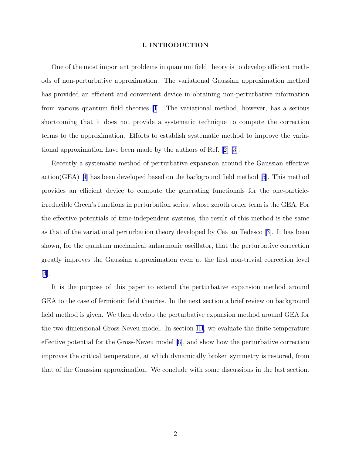#### I. INTRODUCTION

One of the most important problems in quantum field theory is to develop efficient methods of non-perturbative approximation. The variational Gaussian approximation method has provided an efficient and convenient device in obtaining non-perturbative information from various quantum field theories [\[1](#page-12-0)]. The variational method, however, has a serious shortcoming that it does not provide a systematic technique to compute the correction terms to the approximation. Efforts to establish systematic method to improve the variational approximation have been made by the authors of Ref.[[2\] \[3](#page-12-0)].

Recently a systematic method of perturbative expansion around the Gaussian effective action(GEA) $|4|$  $|4|$  $|4|$  has been developed based on the background field method  $|5|$ . This method provides an efficient device to compute the generating functionals for the one-particleirreducible Green's functions in perturbation series, whose zeroth order term is the GEA. For the effective potentials of time-independent systems, the result of this method is the same as that of the variational perturbation theory developed by Cea an Tedesco[[3\]](#page-12-0). It has been shown, for the quantum mechanical anharmonic oscillator, that the perturbative correction greatly improves the Gaussian approximation even at the first non-trivial correction level [\[4](#page-12-0)].

It is the purpose of this paper to extend the perturbative expansion method around GEA to the case of fermionic field theories. In the next section a brief review on background field method is given. We then develop the perturbative expansion method around GEA for the two-dimensional Gross-Neveu model. In section [III](#page-8-0), we evaluate the finite temperature effective potential for the Gross-Neveu model [\[6](#page-13-0)], and show how the perturbative correction improves the critical temperature, at which dynamically broken symmetry is restored, from that of the Gaussian approximation. We conclude with some discussions in the last section.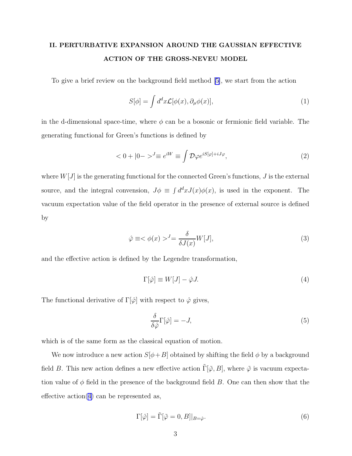## <span id="page-2-0"></span>II. PERTURBATIVE EXPANSION AROUND THE GAUSSIAN EFFECTIVE ACTION OF THE GROSS-NEVEU MODEL

To give a brief review on the background field method[[5\]](#page-12-0), we start from the action

$$
S[\phi] = \int d^d x \mathcal{L}[\phi(x), \partial_\mu \phi(x)], \qquad (1)
$$

in the d-dimensional space-time, where  $\phi$  can be a bosonic or fermionic field variable. The generating functional for Green's functions is defined by

$$
\langle 0 + |0 - \rangle^J \equiv e^{iW} \equiv \int \mathcal{D}\varphi e^{iS[\varphi] + iJ\varphi}, \tag{2}
$$

where  $W[J]$  is the generating functional for the connected Green's functions,  $J$  is the external source, and the integral convension,  $J\phi \equiv \int d^dx J(x)\phi(x)$ , is used in the exponent. The vacuum expectation value of the field operator in the presence of external source is defined by

$$
\hat{\varphi} \equiv \langle \phi(x) \rangle^J = \frac{\delta}{\delta J(x)} W[J], \tag{3}
$$

and the effective action is defined by the Legendre transformation,

$$
\Gamma[\hat{\varphi}] \equiv W[J] - \hat{\varphi}J. \tag{4}
$$

The functional derivative of  $\Gamma[\hat{\varphi}]$  with respect to  $\hat{\varphi}$  gives,

$$
\frac{\delta}{\delta \hat{\varphi}} \Gamma[\hat{\varphi}] = -J,\tag{5}
$$

which is of the same form as the classical equation of motion.

We now introduce a new action  $S[\phi+B]$  obtained by shifting the field  $\phi$  by a background field B. This new action defines a new effective action  $\tilde{\Gamma}[\tilde{\varphi}, B]$ , where  $\tilde{\varphi}$  is vacuum expectation value of  $\phi$  field in the presence of the background field B. One can then show that the effective  $\arctan(4)$  can be represented as,

$$
\Gamma[\hat{\varphi}] = \tilde{\Gamma}[\tilde{\varphi} = 0, B]|_{B = \hat{\varphi}}.
$$
\n(6)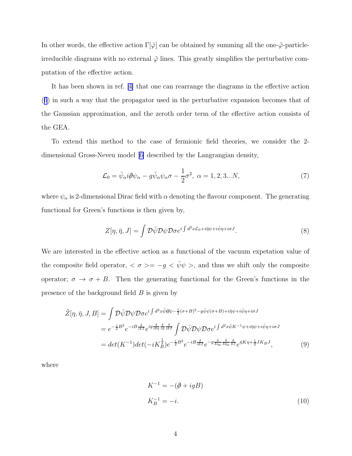<span id="page-3-0"></span>In other words, the effective action  $\Gamma[\hat{\varphi}]$  can be obtained by summing all the one- $\tilde{\varphi}$ -particleirreducible diagrams with no external  $\tilde{\varphi}$  lines. This greatly simplifies the perturbative computation of the effective action.

It has been shown in ref.[[4\]](#page-12-0) that one can rearrange the diagrams in the effective action ([6](#page-2-0)) in such a way that the propagator used in the perturbative expansion becomes that of the Gaussian approximation, and the zeroth order term of the effective action consists of the GEA.

To extend this method to the case of fermionic field theories, we consider the 2 dimensional Gross-Neveu model[[6\]](#page-13-0) described by the Langrangian density,

$$
\mathcal{L}_0 = \bar{\psi}_{\alpha} i \partial \psi_{\alpha} - g \bar{\psi}_{\alpha} \psi_{\alpha} \sigma - \frac{1}{2} \sigma^2, \ \alpha = 1, 2, 3...N, \tag{7}
$$

where  $\psi_{\alpha}$  is 2-dimensional Dirac field with  $\alpha$  denoting the flavour component. The generating functional for Green's functions is then given by,

$$
Z[\eta, \bar{\eta}, J] = \int \mathcal{D}\bar{\psi}\mathcal{D}\psi \mathcal{D}\sigma e^{i\int d^2x \mathcal{L}_0 + i\bar{\eta}\psi + i\bar{\psi}\eta + i\sigma J}.
$$
 (8)

We are interested in the effective action as a functional of the vacuum expetation value of the composite field operator,  $\langle \sigma \rangle = -g \langle \bar{\psi} \psi \rangle$ , and thus we shift only the composite operator;  $\sigma \to \sigma + B$ . Then the generating functional for the Green's functions in the presence of the background field  $B$  is given by

$$
\tilde{Z}[\eta, \bar{\eta}, J, B] = \int \mathcal{D}\bar{\psi}\mathcal{D}\psi\mathcal{D}\sigma e^{i\int d^{2}x\bar{\psi}\partial\psi - \frac{1}{2}(\sigma+B)^{2} - g\bar{\psi}\psi(\sigma+B) + i\bar{\eta}\psi + i\bar{\psi}\eta + i\sigma J} \n= e^{-\frac{i}{2}B^{2}}e^{-iB\frac{\delta}{i\delta J}}e^{ig\frac{\delta}{i\delta\eta}\frac{\delta}{i\bar{\eta}}}\int \mathcal{D}\bar{\psi}\mathcal{D}\psi\mathcal{D}\sigma e^{i\int d^{2}x\bar{\psi}K^{-1}\psi + i\bar{\eta}\psi + i\bar{\psi}\eta + i\sigma J} \n= det(K^{-1})det(-iK_{B}^{\frac{1}{2}})e^{-\frac{i}{2}B^{2}}e^{-iB\frac{\delta}{i\delta J}}e^{-g\frac{\delta}{\delta\eta_{a}}\frac{\delta}{\delta\bar{\eta}}}\bar{e}^{\bar{\eta}K\eta + \frac{1}{2}JK_{B}J},
$$
\n(9)

where

$$
K^{-1} = -(\partial + igB)
$$
  
\n
$$
K_B^{-1} = -i.
$$
\n(10)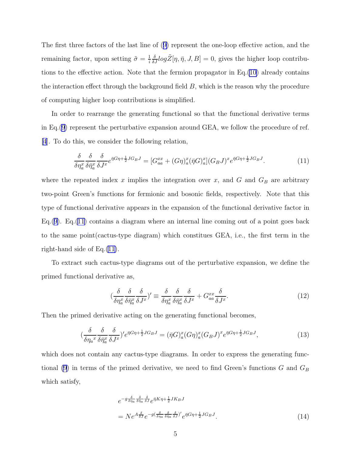<span id="page-4-0"></span>The first three factors of the last line of([9\)](#page-3-0) represent the one-loop effective action, and the remaining factor, upon setting  $\tilde{\sigma} = \frac{1}{i}$ i  $\frac{\delta}{\delta J} log \tilde{Z} [\eta, \bar{\eta}, J, B] = 0$ , gives the higher loop contributions to the effective action. Note that the fermion propagator in Eq.[\(10](#page-3-0)) already contains the interaction effect through the background field  $B$ , which is the reason why the procedure of computing higher loop contributions is simplified.

In order to rearrange the generating functional so that the functional derivative terms in Eq.[\(9](#page-3-0)) represent the perturbative expansion around GEA, we follow the procedure of ref. [\[4](#page-12-0)]. To do this, we consider the following relation,

$$
\frac{\delta}{\delta \eta_a^x} \frac{\delta}{\delta \bar{\eta}_a^x} \frac{\delta}{\delta J^x} e^{\bar{\eta}G\eta + \frac{1}{2}JG_B J} = [G_{aa}^{xx} + (G\eta)_a^x (\bar{\eta}G)_a^x](G_B J)^x e^{\bar{\eta}G\eta + \frac{1}{2}JG_B J}.
$$
\n(11)

where the repeated index  $x$  implies the integration over  $x$ , and  $G$  and  $G_B$  are arbitrary two-point Green's functions for fermionic and bosonic fields, respectively. Note that this type of functional derivative appears in the expansion of the functional derivative factor in Eq. $(9)$  $(9)$ . Eq. $(11)$  contains a diagram where an internal line coming out of a point goes back to the same point(cactus-type diagram) which constitues GEA, i.e., the first term in the right-hand side of Eq.(11).

To extract such cactus-type diagrams out of the perturbative expansion, we define the primed functional derivative as,

$$
\left(\frac{\delta}{\delta \eta_a^x} \frac{\delta}{\delta \bar{\eta}_a^x} \frac{\delta}{\delta J^x}\right)' \equiv \frac{\delta}{\delta \eta_a^x} \frac{\delta}{\delta \bar{\eta}_a^x} \frac{\delta}{\delta J^x} + G_{aa}^{xx} \frac{\delta}{\delta J^x}.
$$
\n(12)

Then the primed derivative acting on the generating functional becomes,

$$
\left(\frac{\delta}{\delta\eta_a x} \frac{\delta}{\delta\bar{\eta}_a^x} \frac{\delta}{\delta J^x}\right)' e^{\bar{\eta}G\eta + \frac{1}{2}JG_B J} = (\bar{\eta}G)^x_a (G\eta)^x_a (G_B J)^x e^{\bar{\eta}G\eta + \frac{1}{2}JG_B J},\tag{13}
$$

which does not contain any cactus-type diagrams. In order to express the generating func-tional [\(9](#page-3-0)) in terms of the primed derivative, we need to find Green's functions  $G$  and  $G_B$ which satisfy,

$$
e^{-g\frac{\delta}{\delta\eta_a}\frac{\delta}{\delta\bar{\eta}_a}\frac{\delta}{\delta J}}e^{\bar{\eta}K\eta+\frac{1}{2}JK_BJ}
$$
  
= 
$$
Ne^{A\frac{\delta}{\delta J}}e^{-g(\frac{\delta}{\delta\eta_a}\frac{\delta}{\delta\bar{\eta}_a}\frac{\delta}{\delta J})'}e^{\bar{\eta}G\eta+\frac{1}{2}JG_BJ}.
$$
 (14)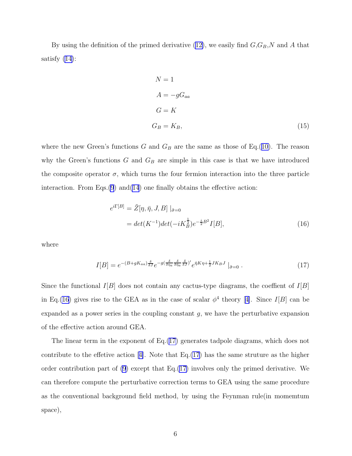By using the definition of the primed derivative  $(12)$ , we easily find  $G, G_B, N$  and A that satisfy [\(14\)](#page-4-0):

$$
N = 1
$$
  
\n
$$
A = -gG_{aa}
$$
  
\n
$$
G = K
$$
  
\n
$$
G_B = K_B,
$$
\n(15)

where the new Green's functions G and  $G_B$  are the same as those of Eq.([10\)](#page-3-0). The reason why the Green's functions  $G$  and  $G_B$  are simple in this case is that we have introduced the composite operator  $\sigma$ , which turns the four fermion interaction into the three particle interaction. From Eqs. $(9)$  $(9)$  and $(14)$  $(14)$  one finally obtains the effective action:

$$
e^{i\Gamma[B]} = \tilde{Z}[\eta, \bar{\eta}, J, B] \mid_{\tilde{\sigma}=0}
$$
  
=  $det(K^{-1})det(-iK_B^{\frac{1}{2}})e^{-\frac{i}{2}B^2}I[B],$  (16)

where

$$
I[B] = e^{-(B+gK_{aa})\frac{\delta}{\delta J}}e^{-g(\frac{\delta}{\delta \eta_a}\frac{\delta}{\delta \bar{\eta}_a}\frac{\delta}{\delta J})'}e^{\bar{\eta}K\eta + \frac{1}{2}JK_BJ}\mid_{\tilde{\sigma}=0}.
$$
 (17)

Since the functional  $I[B]$  does not contain any cactus-type diagrams, the coeffient of  $I[B]$ inEq.(16) gives rise to the GEA as in the case of scalar  $\phi^4$  theory [[4\]](#page-12-0). Since I[B] can be expanded as a power series in the coupling constant  $g$ , we have the perturbative expansion of the effective action around GEA.

The linear term in the exponent of Eq.(17) generates tadpole diagrams, which does not contributeto the effetive action [[4\]](#page-12-0). Note that  $Eq.(17)$  has the same struture as the higher order contribution part of  $(9)$  except that Eq. $(17)$  involves only the primed derivative. We can therefore compute the perturbative correction terms to GEA using the same procedure as the conventional background field method, by using the Feynman rule(in momemtum space),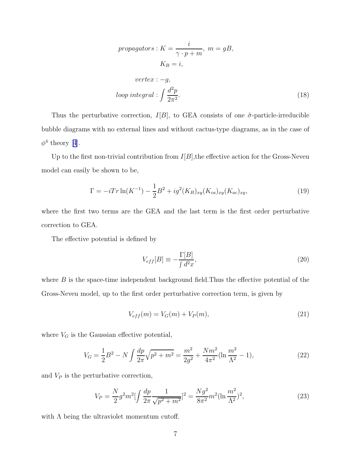*propagators*: 
$$
K = \frac{i}{\gamma \cdot p + m}
$$
,  $m = gB$ ,  
\n $K_B = i$ ,  
\n*vertex*:  $-g$ ,  
\n*loop integral*:  $\int \frac{d^2p}{2\pi^2}$ . (18)

<span id="page-6-0"></span>Thus the perturbative correction,  $I[B]$ , to GEA consists of one  $\tilde{\sigma}$ -particle-irreducible bubble diagrams with no external lines and without cactus-type diagrams, as in the case of  $\phi^4$  $\phi^4$ theory [4].

Up to the first non-trivial contribution from  $I[B]$ , the effective action for the Gross-Neveu model can easily be shown to be,

$$
\Gamma = -iTr \ln(K^{-1}) - \frac{1}{2}B^2 + ig^2(K_B)_{xy}(K_{ca})_{xy}(K_{ac})_{xy},\tag{19}
$$

where the first two terms are the GEA and the last term is the first order perturbative correction to GEA.

The effective potential is defined by

$$
V_{eff}[B] \equiv -\frac{\Gamma[B]}{\int d^2x},\tag{20}
$$

where  $B$  is the space-time independent background field. Thus the effective potential of the Gross-Neveu model, up to the first order perturbative correction term, is given by

$$
V_{eff}(m) = V_G(m) + V_P(m),\tag{21}
$$

where  $V_G$  is the Gaussian effective potential,

$$
V_G = \frac{1}{2}B^2 - N \int \frac{dp}{2\pi} \sqrt{p^2 + m^2} = \frac{m^2}{2g^2} + \frac{Nm^2}{4\pi^2} (\ln\frac{m^2}{\Lambda^2} - 1),\tag{22}
$$

and  $V_P$  is the perturbative correction,

$$
V_P = \frac{N}{2}g^2m^2\left[\int \frac{dp}{2\pi} \frac{1}{\sqrt{p^2 + m^2}}\right]^2 = \frac{Ng^2}{8\pi^2}m^2(\ln\frac{m^2}{\Lambda^2})^2,\tag{23}
$$

with  $\Lambda$  being the ultraviolet momentum cutoff.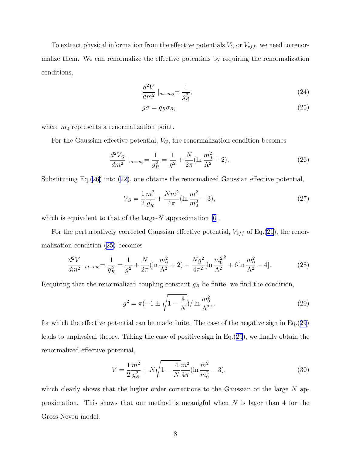<span id="page-7-0"></span>To extract physical information from the effective potentials  $V_G$  or  $V_{eff}$ , we need to renormalize them. We can renormalize the effective potentials by requiring the renormalization conditions,

$$
\frac{d^2V}{dm^2}\Big|_{m=m_0} = \frac{1}{g_R^2},\tag{24}
$$

$$
g\sigma = g_R \sigma_R,\tag{25}
$$

where  $m_0$  represents a renormalization point.

For the Gaussian effective potential,  $V_G$ , the renormalization condition becomes

$$
\frac{d^2V_G}{dm^2}\Big|_{m=m_0} = \frac{1}{g_R^2} = \frac{1}{g^2} + \frac{N}{2\pi}(\ln\frac{m_0^2}{\Lambda^2} + 2). \tag{26}
$$

Substituting Eq.(26) into [\(22](#page-6-0)), one obtains the renormalized Gaussian effective potential,

$$
V_G = \frac{1}{2} \frac{m^2}{g_R^2} + \frac{N m^2}{4\pi} (\ln \frac{m^2}{m_0^2} - 3),\tag{27}
$$

which is equivalent to that of the large- $N$  approximation [\[6](#page-13-0)].

For the perturbatively corrected Gaussian effective potential,  $V_{eff}$  of Eq.[\(21](#page-6-0)), the renormalization condition (25) becomes

$$
\frac{d^2V}{dm^2}\Big|_{m=m_0} = \frac{1}{g_R^2} = \frac{1}{g^2} + \frac{N}{2\pi}(\ln\frac{m_0^2}{\Lambda^2} + 2) + \frac{Ng^2}{4\pi^2}[\ln\frac{m_0^2}{\Lambda^2} + 6\ln\frac{m_0^2}{\Lambda^2} + 4].\tag{28}
$$

Requiring that the renormalized coupling constant  $g_R$  be finite, we find the condition,

$$
g^{2} = \pi(-1 \pm \sqrt{1 - \frac{4}{N}})/\ln \frac{m_{0}^{2}}{\Lambda^{2}},
$$
\n(29)

for which the effective potential can be made finite. The case of the negative sign in Eq.(29) leads to unphysical theory. Taking the case of positive sign in Eq.(29), we finally obtain the renormalized effective potential,

$$
V = \frac{1}{2} \frac{m^2}{g_R^2} + N \sqrt{1 - \frac{4}{N} \frac{m^2}{4\pi}} (\ln \frac{m^2}{m_0^2} - 3),\tag{30}
$$

which clearly shows that the higher order corrections to the Gaussian or the large  $N$  approximation. This shows that our method is meanigful when  $N$  is lager than 4 for the Gross-Neveu model.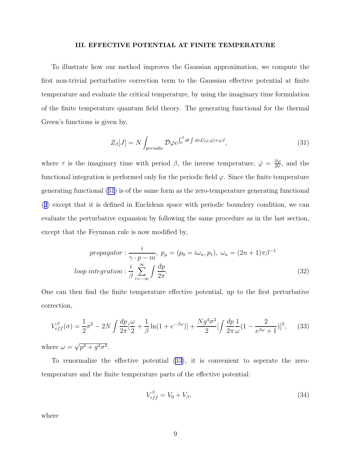#### III. EFFECTIVE POTENTIAL AT FINITE TEMPERATURE

<span id="page-8-0"></span>To illustrate how our method improves the Gaussian approximation, we compute the first non-trivial perturbative correction term to the Gaussian effective potential at finite temperature and evaluate the critical temperature, by using the imaginary time formulation of the finite temperature quantum field theory. The generating functional for the thermal Green's functions is given by,

$$
Z_{\beta}[J] = N \int_{periodic} \mathcal{D}\varphi e^{\int_0^{\beta} dt \int dx \mathcal{L}(\varphi, \dot{\varphi}) + \varphi J}, \qquad (31)
$$

where  $\tau$  is the imaginary time with period  $\beta$ , the inverse temperature,  $\dot{\varphi} = \frac{\partial \varphi}{\partial \tau}$ , and the functional integration is performed only for the periodic field  $\varphi$ . Since the finite temperature generating functional (31) is of the same form as the zero-temperature generating functional ([2](#page-2-0)) except that it is defined in Euclidean space with periodic boundery condition, we can evaluate the perturbative expansion by following the same procedure as in the last section, except that the Feynman rule is now modified by,

$$
propagator: \frac{i}{\gamma \cdot p - m}, \ p_{\mu} = (p_0 = i\omega_n, p_1), \ \omega_n = (2n + 1)\pi\beta^{-1}
$$
  
*loop integration*:  $\frac{i}{\beta} \sum_{i=-\infty}^{\infty} \int \frac{dp}{2\pi}.$  (32)

One can then find the finite temperature effective potential, up to the first perturbative correction,

$$
V_{eff}^{\beta}(\sigma) = \frac{1}{2}\sigma^2 - 2N \int \frac{dp}{2\pi} \left[\frac{\omega}{2} + \frac{1}{\beta} \ln(1 + e^{-\beta \omega})\right] + \frac{Ng^4 \sigma^2}{2} \left[\int \frac{dp}{2\pi} \frac{1}{\omega} (1 - \frac{2}{e^{\beta \omega} + 1})\right]^2, \tag{33}
$$

where  $\omega = \sqrt{p^2 + g^2 \sigma^2}$ .

To renormalize the effective potential (33), it is convenient to seperate the zerotemperature and the finite temperature parts of the effective potential:

$$
V_{eff}^{\beta} = V_0 + V_{\beta},\tag{34}
$$

where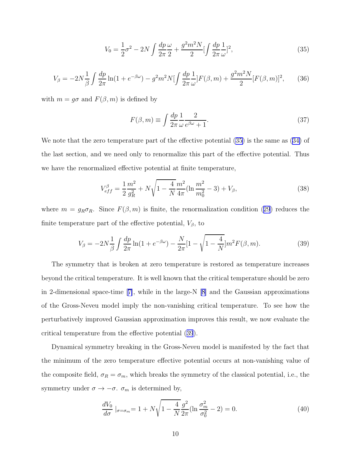$$
V_0 = \frac{1}{2}\sigma^2 - 2N \int \frac{dp}{2\pi} \frac{\omega}{2} + \frac{g^2 m^2 N}{2} \left[ \int \frac{dp}{2\pi} \frac{1}{\omega} \right]^2, \tag{35}
$$

<span id="page-9-0"></span>
$$
V_{\beta} = -2N\frac{1}{\beta} \int \frac{dp}{2\pi} \ln(1 + e^{-\beta \omega}) - g^2 m^2 N \left[ \int \frac{dp}{2\pi} \frac{1}{\omega} \right] F(\beta, m) + \frac{g^2 m^2 N}{2} [F(\beta, m)]^2, \tag{36}
$$

with  $m = g\sigma$  and  $F(\beta, m)$  is defined by

$$
F(\beta, m) \equiv \int \frac{dp}{2\pi} \frac{1}{\omega} \frac{2}{e^{\beta \omega} + 1}.
$$
\n(37)

We note that the zero temperature part of the effective potential (35) is the same as([34\)](#page-8-0) of the last section, and we need only to renormalize this part of the effective potential. Thus we have the renormalized effective potential at finite temperature,

$$
V_{eff}^{\beta} = \frac{1}{2} \frac{m^2}{g_R^2} + N \sqrt{1 - \frac{4}{N} \frac{m^2}{4\pi} (\ln \frac{m^2}{m_0^2} - 3) + V_{\beta}},
$$
(38)

where $m = g_R \sigma_R$ . Since  $F(\beta, m)$  is finite, the renormalization condition ([29](#page-7-0)) reduces the finite temperature part of the effective potential,  $V_{\beta}$ , to

$$
V_{\beta} = -2N\frac{1}{\beta} \int \frac{dp}{2\pi} \ln(1 + e^{-\beta \omega}) - \frac{N}{2\pi} [1 - \sqrt{1 - \frac{4}{N}}] m^2 F(\beta, m). \tag{39}
$$

The symmetry that is broken at zero temperature is restored as temperature increases beyond the critical temperature. It is well known that the critical temperature should be zero in 2-dimensional space-time[[7\]](#page-13-0), while in the large-N[[8\]](#page-13-0) and the Gaussian approximations of the Gross-Neveu model imply the non-vanishing critical temperature. To see how the perturbatively improved Gaussian approximation improves this result, we now evaluate the critical temperature from the effective potential (39).

Dynamical symmetry breaking in the Gross-Neveu model is manifested by the fact that the minimum of the zero temperature effective potential occurs at non-vanishing value of the composite field,  $\sigma_R = \sigma_m$ , which breaks the symmetry of the classical potential, i.e., the symmetry under  $\sigma \to -\sigma$ .  $\sigma_m$  is determined by,

$$
\frac{dV_0}{d\sigma}|_{\sigma=\sigma_m} = 1 + N\sqrt{1 - \frac{4}{N}\frac{g^2}{2\pi}}(\ln\frac{\sigma_m^2}{\sigma_0^2} - 2) = 0.
$$
\n(40)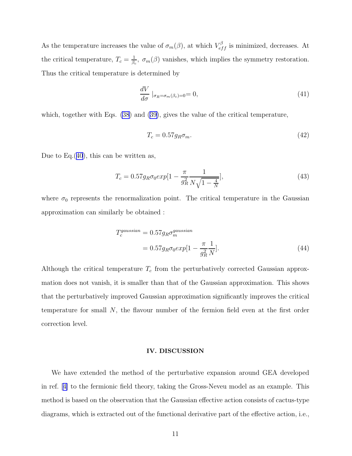As the temperature increases the value of  $\sigma_m(\beta)$ , at which  $V_{eff}^{\beta}$  is minimized, decreases. At the critical temperature,  $T_c = \frac{1}{\beta_c}$  $\frac{1}{\beta_c}$ ,  $\sigma_m(\beta)$  vanishes, which implies the symmetry restoration. Thus the critical temperature is determined by

$$
\frac{dV}{d\sigma} \mid_{\sigma_R = \sigma_m(\beta_c) = 0} = 0,\tag{41}
$$

which, together with Eqs. [\(38](#page-9-0)) and([39\)](#page-9-0), gives the value of the critical temperature,

$$
T_c = 0.57g_R\sigma_m. \tag{42}
$$

Due to Eq.([40](#page-9-0)), this can be written as,

$$
T_c = 0.57 g_R \sigma_0 exp[1 - \frac{\pi}{g_R^2} \frac{1}{N\sqrt{1 - \frac{4}{N}}}],
$$
\n(43)

where  $\sigma_0$  represents the renormalization point. The critical temperature in the Gaussian approximation can similarly be obtained :

$$
T_c^{gaussian} = 0.57 g_R \sigma_m^{gaussian}
$$
  
= 
$$
0.57 g_R \sigma_0 exp[1 - \frac{\pi}{g_R^2} \frac{1}{N}].
$$
 (44)

Although the critical temperature  $T_c$  from the perturbatively corrected Gaussian approxmation does not vanish, it is smaller than that of the Gaussian approximation. This shows that the perturbatively improved Gaussian approximation significantly improves the critical temperature for small N, the flavour number of the fermion field even at the first order correction level.

#### IV. DISCUSSION

We have extended the method of the perturbative expansion around GEA developed in ref.[[4\]](#page-12-0) to the fermionic field theory, taking the Gross-Neveu model as an example. This method is based on the observation that the Gaussian effective action consists of cactus-type diagrams, which is extracted out of the functional derivative part of the effective action, i.e.,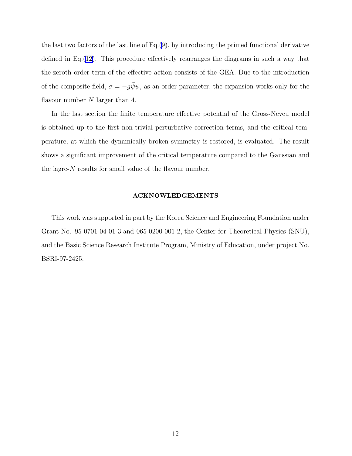the last two factors of the last line of Eq.[\(9](#page-3-0)), by introducing the primed functional derivative defined in Eq.([12\)](#page-4-0). This procedure effectively rearranges the diagrams in such a way that the zeroth order term of the effective action consists of the GEA. Due to the introduction of the composite field,  $\sigma = -g\bar{\psi}\psi$ , as an order parameter, the expansion works only for the flavour number  $N$  larger than 4.

In the last section the finite temperature effective potential of the Gross-Neveu model is obtained up to the first non-trivial perturbative correction terms, and the critical temperature, at which the dynamically broken symmetry is restored, is evaluated. The result shows a significant improvement of the critical temperature compared to the Gaussian and the lagre-N results for small value of the flavour number.

#### ACKNOWLEDGEMENTS

This work was supported in part by the Korea Science and Engineering Foundation under Grant No. 95-0701-04-01-3 and 065-0200-001-2, the Center for Theoretical Physics (SNU), and the Basic Science Research Institute Program, Ministry of Education, under project No. BSRI-97-2425.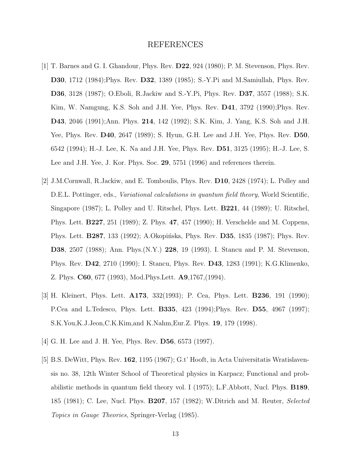#### REFERENCES

- <span id="page-12-0"></span>[1] T. Barnes and G. I. Ghandour, Phys. Rev. D22, 924 (1980); P. M. Stevenson, Phys. Rev. D30, 1712 (1984);Phys. Rev. D32, 1389 (1985); S.-Y.Pi and M.Samiullah, Phys. Rev. D36, 3128 (1987); O.Eboli, R.Jackiw and S.-Y.Pi, Phys. Rev. D37, 3557 (1988); S.K. Kim, W. Namgung, K.S. Soh and J.H. Yee, Phys. Rev. D41, 3792 (1990);Phys. Rev. D43, 2046 (1991);Ann. Phys. 214, 142 (1992); S.K. Kim, J. Yang, K.S. Soh and J.H. Yee, Phys. Rev. D40, 2647 (1989); S. Hyun, G.H. Lee and J.H. Yee, Phys. Rev. D50, 6542 (1994); H.-J. Lee, K. Na and J.H. Yee, Phys. Rev. D51, 3125 (1995); H.-J. Lee, S. Lee and J.H. Yee, J. Kor. Phys. Soc. 29, 5751 (1996) and references therein.
- [2] J.M.Cornwall, R.Jackiw, and E. Tomboulis, Phys. Rev. D10, 2428 (1974); L. Polley and D.E.L. Pottinger, eds., *Variational calculations in quantum field theory*, World Scientific, Singapore (1987); L. Polley and U. Ritschel, Phys. Lett. B221, 44 (1989); U. Ritschel, Phys. Lett. B227, 251 (1989); Z. Phys. 47, 457 (1990); H. Verschelde and M. Coppens, Phys. Lett. **B287**, 133 (1992); A.Okopińska, Phys. Rev. **D35**, 1835 (1987); Phys. Rev. D38, 2507 (1988); Ann. Phys.(N.Y.) 228, 19 (1993). I. Stancu and P. M. Stevenson, Phys. Rev. D42, 2710 (1990); I. Stancu, Phys. Rev. D43, 1283 (1991); K.G.Klimenko, Z. Phys. C60, 677 (1993), Mod.Phys.Lett. A9,1767,(1994).
- [3] H. Kleinert, Phys. Lett. A173, 332(1993); P. Cea, Phys. Lett. B236, 191 (1990); P.Cea and L.Tedesco, Phys. Lett. B335, 423 (1994);Phys. Rev. D55, 4967 (1997); S.K.You,K.J.Jeon,C.K.Kim,and K.Nahm,Eur.Z. Phys. 19, 179 (1998).
- [4] G. H. Lee and J. H. Yee, Phys. Rev. D56, 6573 (1997).
- [5] B.S. DeWitt, Phys. Rev. 162, 1195 (1967); G.t' Hooft, in Acta Universitatis Wratislavensis no. 38, 12th Winter School of Theoretical physics in Karpacz; Functional and probabilistic methods in quantum field theory vol. I (1975); L.F.Abbott, Nucl. Phys. B189, 185 (1981); C. Lee, Nucl. Phys. B207, 157 (1982); W.Ditrich and M. Reuter, Selected Topics in Gauge Theories, Springer-Verlag (1985).